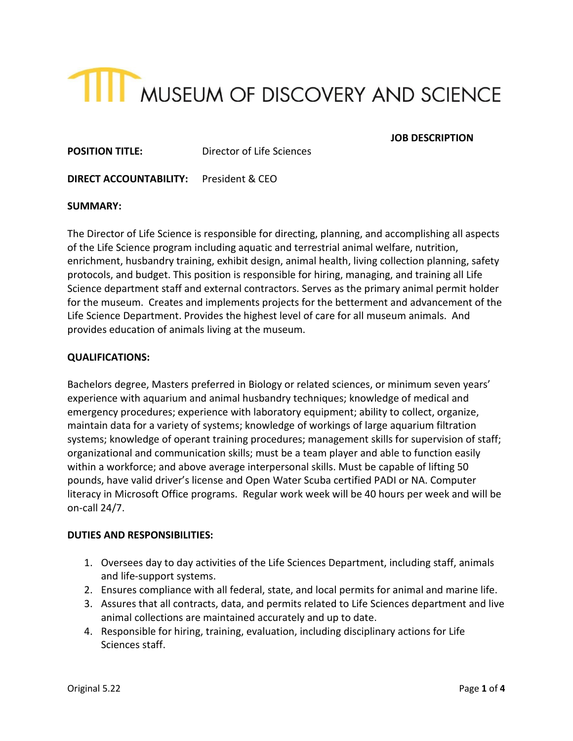

# **JOB DESCRIPTION**

**POSITION TITLE:** Director of Life Sciences

**DIRECT ACCOUNTABILITY:** President & CEO

## **SUMMARY:**

The Director of Life Science is responsible for directing, planning, and accomplishing all aspects of the Life Science program including aquatic and terrestrial animal welfare, nutrition, enrichment, husbandry training, exhibit design, animal health, living collection planning, safety protocols, and budget. This position is responsible for hiring, managing, and training all Life Science department staff and external contractors. Serves as the primary animal permit holder for the museum. Creates and implements projects for the betterment and advancement of the Life Science Department. Provides the highest level of care for all museum animals. And provides education of animals living at the museum.

# **QUALIFICATIONS:**

Bachelors degree, Masters preferred in Biology or related sciences, or minimum seven years' experience with aquarium and animal husbandry techniques; knowledge of medical and emergency procedures; experience with laboratory equipment; ability to collect, organize, maintain data for a variety of systems; knowledge of workings of large aquarium filtration systems; knowledge of operant training procedures; management skills for supervision of staff; organizational and communication skills; must be a team player and able to function easily within a workforce; and above average interpersonal skills. Must be capable of lifting 50 pounds, have valid driver's license and Open Water Scuba certified PADI or NA. Computer literacy in Microsoft Office programs. Regular work week will be 40 hours per week and will be on-call 24/7.

#### **DUTIES AND RESPONSIBILITIES:**

- 1. Oversees day to day activities of the Life Sciences Department, including staff, animals and life-support systems.
- 2. Ensures compliance with all federal, state, and local permits for animal and marine life.
- 3. Assures that all contracts, data, and permits related to Life Sciences department and live animal collections are maintained accurately and up to date.
- 4. Responsible for hiring, training, evaluation, including disciplinary actions for Life Sciences staff.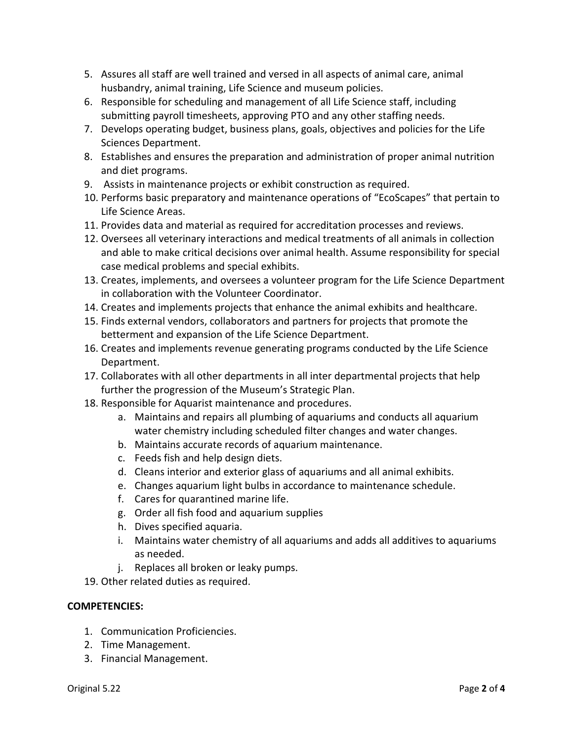- 5. Assures all staff are well trained and versed in all aspects of animal care, animal husbandry, animal training, Life Science and museum policies.
- 6. Responsible for scheduling and management of all Life Science staff, including submitting payroll timesheets, approving PTO and any other staffing needs.
- 7. Develops operating budget, business plans, goals, objectives and policies for the Life Sciences Department.
- 8. Establishes and ensures the preparation and administration of proper animal nutrition and diet programs.
- 9. Assists in maintenance projects or exhibit construction as required.
- 10. Performs basic preparatory and maintenance operations of "EcoScapes" that pertain to Life Science Areas.
- 11. Provides data and material as required for accreditation processes and reviews.
- 12. Oversees all veterinary interactions and medical treatments of all animals in collection and able to make critical decisions over animal health. Assume responsibility for special case medical problems and special exhibits.
- 13. Creates, implements, and oversees a volunteer program for the Life Science Department in collaboration with the Volunteer Coordinator.
- 14. Creates and implements projects that enhance the animal exhibits and healthcare.
- 15. Finds external vendors, collaborators and partners for projects that promote the betterment and expansion of the Life Science Department.
- 16. Creates and implements revenue generating programs conducted by the Life Science Department.
- 17. Collaborates with all other departments in all inter departmental projects that help further the progression of the Museum's Strategic Plan.
- 18. Responsible for Aquarist maintenance and procedures.
	- a. Maintains and repairs all plumbing of aquariums and conducts all aquarium water chemistry including scheduled filter changes and water changes.
	- b. Maintains accurate records of aquarium maintenance.
	- c. Feeds fish and help design diets.
	- d. Cleans interior and exterior glass of aquariums and all animal exhibits.
	- e. Changes aquarium light bulbs in accordance to maintenance schedule.
	- f. Cares for quarantined marine life.
	- g. Order all fish food and aquarium supplies
	- h. Dives specified aquaria.
	- i. Maintains water chemistry of all aquariums and adds all additives to aquariums as needed.
	- j. Replaces all broken or leaky pumps.
- 19. Other related duties as required.

# **COMPETENCIES:**

- 1. Communication Proficiencies.
- 2. Time Management.
- 3. Financial Management.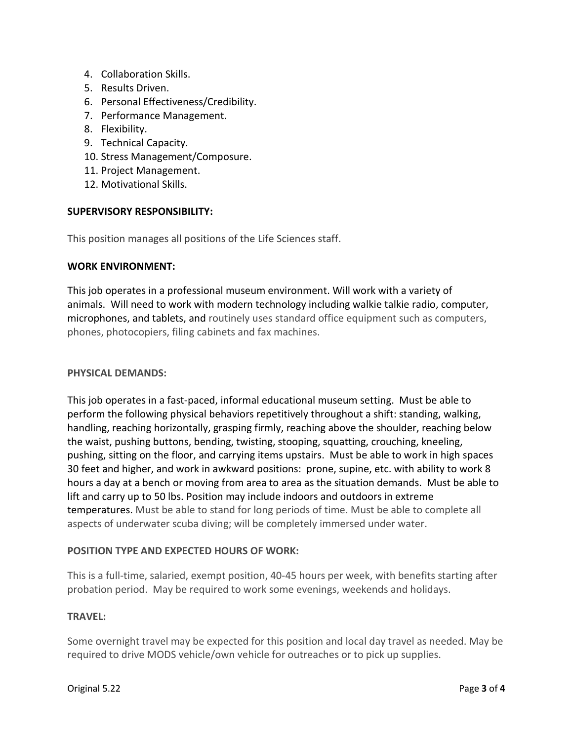- 4. Collaboration Skills.
- 5. Results Driven.
- 6. Personal Effectiveness/Credibility.
- 7. Performance Management.
- 8. Flexibility.
- 9. Technical Capacity.
- 10. Stress Management/Composure.
- 11. Project Management.
- 12. Motivational Skills.

## **SUPERVISORY RESPONSIBILITY:**

This position manages all positions of the Life Sciences staff.

#### **WORK ENVIRONMENT:**

This job operates in a professional museum environment. Will work with a variety of animals. Will need to work with modern technology including walkie talkie radio, computer, microphones, and tablets, and routinely uses standard office equipment such as computers, phones, photocopiers, filing cabinets and fax machines.

#### **PHYSICAL DEMANDS:**

This job operates in a fast-paced, informal educational museum setting. Must be able to perform the following physical behaviors repetitively throughout a shift: standing, walking, handling, reaching horizontally, grasping firmly, reaching above the shoulder, reaching below the waist, pushing buttons, bending, twisting, stooping, squatting, crouching, kneeling, pushing, sitting on the floor, and carrying items upstairs. Must be able to work in high spaces 30 feet and higher, and work in awkward positions: prone, supine, etc. with ability to work 8 hours a day at a bench or moving from area to area as the situation demands. Must be able to lift and carry up to 50 lbs. Position may include indoors and outdoors in extreme temperatures. Must be able to stand for long periods of time. Must be able to complete all aspects of underwater scuba diving; will be completely immersed under water.

# **POSITION TYPE AND EXPECTED HOURS OF WORK:**

This is a full-time, salaried, exempt position, 40-45 hours per week, with benefits starting after probation period. May be required to work some evenings, weekends and holidays.

# **TRAVEL:**

Some overnight travel may be expected for this position and local day travel as needed. May be required to drive MODS vehicle/own vehicle for outreaches or to pick up supplies.